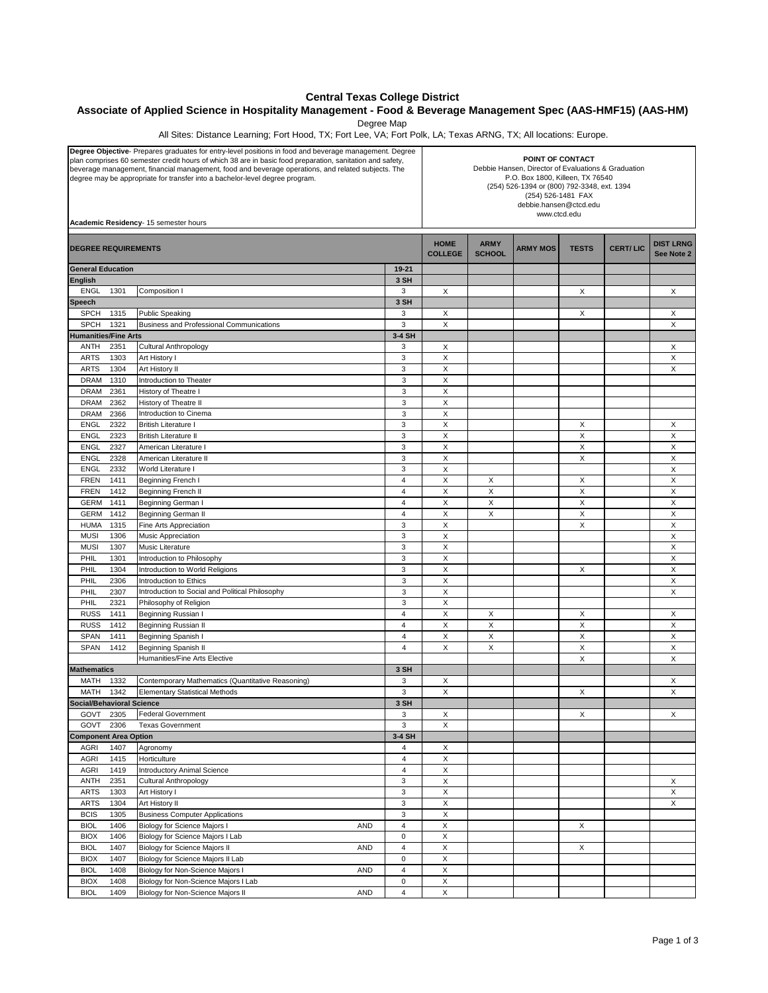## **Central Texas College District**

## **Associate of Applied Science in Hospitality Management - Food & Beverage Management Spec (AAS-HMF15) (AAS-HM)**

Degree Map

All Sites: Distance Learning; Fort Hood, TX; Fort Lee, VA; Fort Polk, LA; Texas ARNG, TX; All locations: Europe.

| Degree Objective- Prepares graduates for entry-level positions in food and beverage management. Degree<br>plan comprises 60 semester credit hours of which 38 are in basic food preparation, sanitation and safety,<br>beverage management, financial management, food and beverage operations, and related subjects. The<br>degree may be appropriate for transfer into a bachelor-level degree program.<br>Academic Residency- 15 semester hours |              |                                                                                        |                                      | POINT OF CONTACT<br>Debbie Hansen, Director of Evaluations & Graduation<br>P.O. Box 1800, Killeen, TX 76540<br>(254) 526-1394 or (800) 792-3348, ext. 1394<br>(254) 526-1481 FAX<br>debbie.hansen@ctcd.edu<br>www.ctcd.edu |                              |                 |              |                 |                                |  |
|----------------------------------------------------------------------------------------------------------------------------------------------------------------------------------------------------------------------------------------------------------------------------------------------------------------------------------------------------------------------------------------------------------------------------------------------------|--------------|----------------------------------------------------------------------------------------|--------------------------------------|----------------------------------------------------------------------------------------------------------------------------------------------------------------------------------------------------------------------------|------------------------------|-----------------|--------------|-----------------|--------------------------------|--|
| <b>DEGREE REQUIREMENTS</b>                                                                                                                                                                                                                                                                                                                                                                                                                         |              |                                                                                        |                                      | <b>HOME</b><br><b>COLLEGE</b>                                                                                                                                                                                              | <b>ARMY</b><br><b>SCHOOL</b> | <b>ARMY MOS</b> | <b>TESTS</b> | <b>CERT/LIC</b> | <b>DIST LRNG</b><br>See Note 2 |  |
| <b>General Education</b>                                                                                                                                                                                                                                                                                                                                                                                                                           |              |                                                                                        | 19-21                                |                                                                                                                                                                                                                            |                              |                 |              |                 |                                |  |
| <b>English</b>                                                                                                                                                                                                                                                                                                                                                                                                                                     |              |                                                                                        | 3 SH                                 |                                                                                                                                                                                                                            |                              |                 |              |                 |                                |  |
| <b>ENGL</b>                                                                                                                                                                                                                                                                                                                                                                                                                                        | 1301         | Composition I                                                                          | 3                                    | X                                                                                                                                                                                                                          |                              |                 | X            |                 | $\boldsymbol{\mathsf{X}}$      |  |
| <b>Speech</b>                                                                                                                                                                                                                                                                                                                                                                                                                                      |              |                                                                                        | 3 SH                                 |                                                                                                                                                                                                                            |                              |                 |              |                 |                                |  |
| <b>SPCH</b>                                                                                                                                                                                                                                                                                                                                                                                                                                        | 1315         | <b>Public Speaking</b>                                                                 | 3                                    | X                                                                                                                                                                                                                          |                              |                 | X            |                 | X                              |  |
| <b>SPCH</b>                                                                                                                                                                                                                                                                                                                                                                                                                                        | 1321         | <b>Business and Professional Communications</b>                                        | 3                                    | X                                                                                                                                                                                                                          |                              |                 |              |                 | $\boldsymbol{\mathsf{X}}$      |  |
| <b>Humanities/Fine Arts</b>                                                                                                                                                                                                                                                                                                                                                                                                                        |              |                                                                                        | 3-4 SH                               |                                                                                                                                                                                                                            |                              |                 |              |                 |                                |  |
| ANTH<br><b>ARTS</b>                                                                                                                                                                                                                                                                                                                                                                                                                                | 2351<br>1303 | Cultural Anthropology<br>Art History I                                                 | 3<br>3                               | Х<br>X                                                                                                                                                                                                                     |                              |                 |              |                 | Χ<br>X                         |  |
| <b>ARTS</b>                                                                                                                                                                                                                                                                                                                                                                                                                                        | 1304         | Art History II                                                                         | 3                                    | X                                                                                                                                                                                                                          |                              |                 |              |                 | X                              |  |
| DRAM                                                                                                                                                                                                                                                                                                                                                                                                                                               | 1310         | Introduction to Theater                                                                | 3                                    | X                                                                                                                                                                                                                          |                              |                 |              |                 |                                |  |
| <b>DRAM</b>                                                                                                                                                                                                                                                                                                                                                                                                                                        | 2361         | History of Theatre I                                                                   | 3                                    | X                                                                                                                                                                                                                          |                              |                 |              |                 |                                |  |
| DRAM                                                                                                                                                                                                                                                                                                                                                                                                                                               | 2362         | History of Theatre II                                                                  | 3                                    | X                                                                                                                                                                                                                          |                              |                 |              |                 |                                |  |
| <b>DRAM</b>                                                                                                                                                                                                                                                                                                                                                                                                                                        | 2366         | Introduction to Cinema                                                                 | 3                                    | X                                                                                                                                                                                                                          |                              |                 |              |                 |                                |  |
| ENGL                                                                                                                                                                                                                                                                                                                                                                                                                                               | 2322         | <b>British Literature I</b>                                                            | 3                                    | X                                                                                                                                                                                                                          |                              |                 | Х            |                 | X                              |  |
| ENGL                                                                                                                                                                                                                                                                                                                                                                                                                                               | 2323         | <b>British Literature II</b>                                                           | 3                                    | X                                                                                                                                                                                                                          |                              |                 | X            |                 | X                              |  |
| <b>ENGL</b>                                                                                                                                                                                                                                                                                                                                                                                                                                        | 2327         | American Literature I                                                                  | 3                                    | X                                                                                                                                                                                                                          |                              |                 | X            |                 | X                              |  |
| <b>ENGL</b>                                                                                                                                                                                                                                                                                                                                                                                                                                        | 2328         | American Literature II                                                                 | 3                                    | X                                                                                                                                                                                                                          |                              |                 | X            |                 | $\boldsymbol{\mathsf{X}}$      |  |
| <b>ENGL</b>                                                                                                                                                                                                                                                                                                                                                                                                                                        | 2332         | World Literature I                                                                     | 3<br>$\overline{4}$                  | X<br>X                                                                                                                                                                                                                     |                              |                 |              |                 | $\boldsymbol{\mathsf{X}}$<br>Χ |  |
| <b>FREN</b><br><b>FREN</b>                                                                                                                                                                                                                                                                                                                                                                                                                         | 1411<br>1412 | Beginning French I<br>Beginning French II                                              | 4                                    | X                                                                                                                                                                                                                          | X<br>X                       |                 | X<br>X       |                 | X                              |  |
| <b>GERM</b>                                                                                                                                                                                                                                                                                                                                                                                                                                        | 1411         | Beginning German I                                                                     | 4                                    | X                                                                                                                                                                                                                          | Х                            |                 | Х            |                 | X                              |  |
| <b>GERM</b>                                                                                                                                                                                                                                                                                                                                                                                                                                        | 1412         | <b>Beginning German II</b>                                                             | 4                                    | X                                                                                                                                                                                                                          | X                            |                 | X            |                 | X                              |  |
| <b>HUMA</b>                                                                                                                                                                                                                                                                                                                                                                                                                                        | 1315         | Fine Arts Appreciation                                                                 | 3                                    | X                                                                                                                                                                                                                          |                              |                 | X            |                 | $\boldsymbol{\mathsf{X}}$      |  |
| <b>MUSI</b>                                                                                                                                                                                                                                                                                                                                                                                                                                        | 1306         | Music Appreciation                                                                     | 3                                    | X                                                                                                                                                                                                                          |                              |                 |              |                 | $\boldsymbol{\mathsf{X}}$      |  |
| <b>MUSI</b>                                                                                                                                                                                                                                                                                                                                                                                                                                        | 1307         | Music Literature                                                                       | 3                                    | X                                                                                                                                                                                                                          |                              |                 |              |                 | $\mathsf X$                    |  |
| PHIL                                                                                                                                                                                                                                                                                                                                                                                                                                               | 1301         | Introduction to Philosophy                                                             | 3                                    | X                                                                                                                                                                                                                          |                              |                 |              |                 | X                              |  |
| PHIL                                                                                                                                                                                                                                                                                                                                                                                                                                               | 1304         | Introduction to World Religions                                                        | 3                                    | X                                                                                                                                                                                                                          |                              |                 | X            |                 | X                              |  |
| PHIL                                                                                                                                                                                                                                                                                                                                                                                                                                               | 2306         | Introduction to Ethics                                                                 | 3                                    | X                                                                                                                                                                                                                          |                              |                 |              |                 | X                              |  |
| PHIL                                                                                                                                                                                                                                                                                                                                                                                                                                               | 2307         | Introduction to Social and Political Philosophy                                        | 3                                    | X                                                                                                                                                                                                                          |                              |                 |              |                 | X                              |  |
| PHIL                                                                                                                                                                                                                                                                                                                                                                                                                                               | 2321         | Philosophy of Religion                                                                 | 3                                    | X                                                                                                                                                                                                                          |                              |                 |              |                 |                                |  |
| <b>RUSS</b><br><b>RUSS</b>                                                                                                                                                                                                                                                                                                                                                                                                                         | 1411<br>1412 | Beginning Russian I                                                                    | $\overline{4}$<br>$\overline{4}$     | $\mathsf X$<br>X                                                                                                                                                                                                           | X<br>X                       |                 | X<br>X       |                 | X<br>X                         |  |
| <b>SPAN</b>                                                                                                                                                                                                                                                                                                                                                                                                                                        | 1411         | Beginning Russian II<br>Beginning Spanish I                                            | 4                                    | X                                                                                                                                                                                                                          | Х                            |                 | X            |                 | X                              |  |
| SPAN                                                                                                                                                                                                                                                                                                                                                                                                                                               | 1412         | <b>Beginning Spanish II</b>                                                            | 4                                    | X                                                                                                                                                                                                                          | Х                            |                 | Х            |                 | X                              |  |
|                                                                                                                                                                                                                                                                                                                                                                                                                                                    |              | Humanities/Fine Arts Elective                                                          |                                      |                                                                                                                                                                                                                            |                              |                 | X            |                 | X                              |  |
| <b>Mathematics</b>                                                                                                                                                                                                                                                                                                                                                                                                                                 |              | 3 SH                                                                                   |                                      |                                                                                                                                                                                                                            |                              |                 |              |                 |                                |  |
| MATH                                                                                                                                                                                                                                                                                                                                                                                                                                               | 1332         | Contemporary Mathematics (Quantitative Reasoning)                                      | 3                                    | X                                                                                                                                                                                                                          |                              |                 |              |                 | X                              |  |
| MATH 1342                                                                                                                                                                                                                                                                                                                                                                                                                                          |              | <b>Elementary Statistical Methods</b>                                                  | 3                                    | X                                                                                                                                                                                                                          |                              |                 | X            |                 | $\boldsymbol{\mathsf{X}}$      |  |
| <b>Social/Behavioral Science</b>                                                                                                                                                                                                                                                                                                                                                                                                                   |              |                                                                                        | 3 SH                                 |                                                                                                                                                                                                                            |                              |                 |              |                 |                                |  |
| GOVT                                                                                                                                                                                                                                                                                                                                                                                                                                               | 2305         | <b>Federal Government</b>                                                              | 3                                    | X                                                                                                                                                                                                                          |                              |                 | X            |                 | X                              |  |
| GOVT<br>2306<br><b>Texas Government</b>                                                                                                                                                                                                                                                                                                                                                                                                            |              | 3                                                                                      | X                                    |                                                                                                                                                                                                                            |                              |                 |              |                 |                                |  |
| <b>Component Area Option</b><br><b>AGRI</b>                                                                                                                                                                                                                                                                                                                                                                                                        | 1407         | Agronomy                                                                               | 3-4 SH<br>4                          | X                                                                                                                                                                                                                          |                              |                 |              |                 |                                |  |
| <b>AGRI</b>                                                                                                                                                                                                                                                                                                                                                                                                                                        | 1415         | Horticulture                                                                           | 4                                    | X                                                                                                                                                                                                                          |                              |                 |              |                 |                                |  |
| <b>AGRI</b>                                                                                                                                                                                                                                                                                                                                                                                                                                        | 1419         | <b>Introductory Animal Science</b>                                                     | 4                                    | $\mathsf X$                                                                                                                                                                                                                |                              |                 |              |                 |                                |  |
| <b>ANTH</b>                                                                                                                                                                                                                                                                                                                                                                                                                                        | 2351         | Cultural Anthropology                                                                  | 3                                    | X                                                                                                                                                                                                                          |                              |                 |              |                 | X                              |  |
| <b>ARTS</b>                                                                                                                                                                                                                                                                                                                                                                                                                                        | 1303         | Art History I                                                                          | 3                                    | X                                                                                                                                                                                                                          |                              |                 |              |                 | X                              |  |
| <b>ARTS</b>                                                                                                                                                                                                                                                                                                                                                                                                                                        | 1304         | Art History II                                                                         | 3                                    | X                                                                                                                                                                                                                          |                              |                 |              |                 | X                              |  |
| <b>BCIS</b>                                                                                                                                                                                                                                                                                                                                                                                                                                        | 1305         | <b>Business Computer Applications</b>                                                  | 3                                    | X                                                                                                                                                                                                                          |                              |                 |              |                 |                                |  |
| <b>BIOL</b>                                                                                                                                                                                                                                                                                                                                                                                                                                        | 1406         | Biology for Science Majors I<br><b>AND</b>                                             | $\overline{\mathbf{4}}$              | $\mathsf X$                                                                                                                                                                                                                |                              |                 | X            |                 |                                |  |
| <b>BIOX</b>                                                                                                                                                                                                                                                                                                                                                                                                                                        | 1406         | Biology for Science Majors I Lab                                                       | 0                                    | X                                                                                                                                                                                                                          |                              |                 |              |                 |                                |  |
| <b>BIOL</b>                                                                                                                                                                                                                                                                                                                                                                                                                                        | 1407         | Biology for Science Majors II<br><b>AND</b>                                            | 4                                    | $\mathsf X$                                                                                                                                                                                                                |                              |                 | X            |                 |                                |  |
| <b>BIOX</b>                                                                                                                                                                                                                                                                                                                                                                                                                                        | 1407         | Biology for Science Majors II Lab                                                      | $\pmb{0}$<br>$\overline{\mathbf{4}}$ | X<br>$\mathsf X$                                                                                                                                                                                                           |                              |                 |              |                 |                                |  |
| <b>BIOL</b><br><b>BIOX</b>                                                                                                                                                                                                                                                                                                                                                                                                                         | 1408<br>1408 | Biology for Non-Science Majors I<br><b>AND</b><br>Biology for Non-Science Majors I Lab | $\pmb{0}$                            | X                                                                                                                                                                                                                          |                              |                 |              |                 |                                |  |
| <b>BIOL</b>                                                                                                                                                                                                                                                                                                                                                                                                                                        | 1409         | Biology for Non-Science Majors II<br><b>AND</b>                                        | 4                                    | $\mathsf X$                                                                                                                                                                                                                |                              |                 |              |                 |                                |  |
|                                                                                                                                                                                                                                                                                                                                                                                                                                                    |              |                                                                                        |                                      |                                                                                                                                                                                                                            |                              |                 |              |                 |                                |  |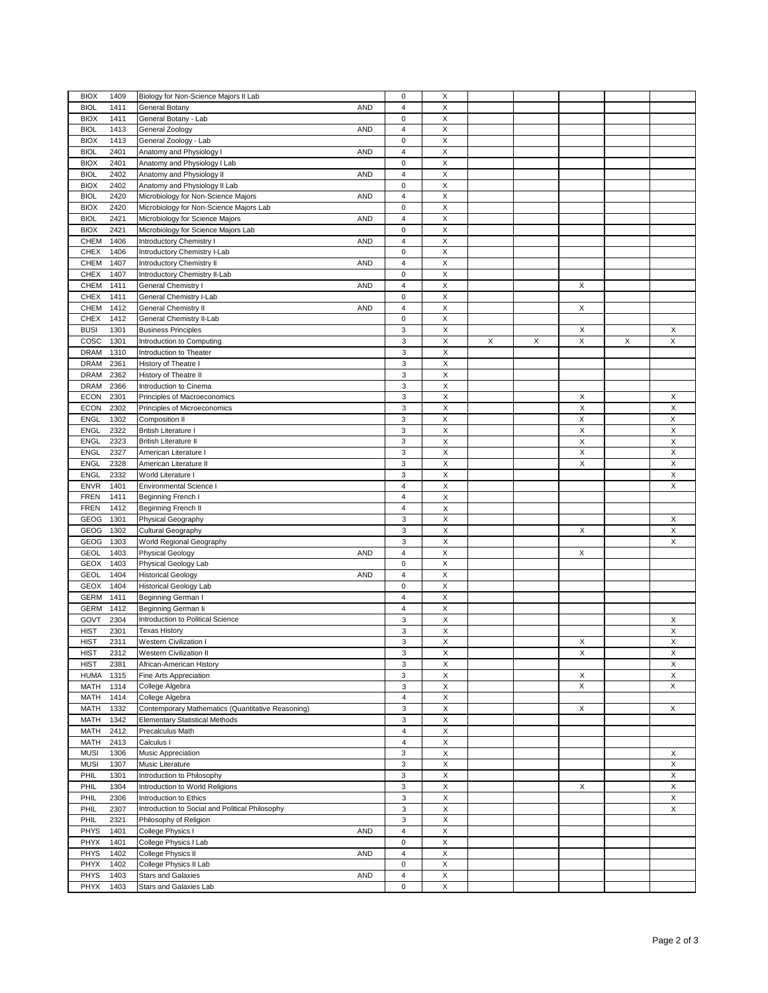| <b>BIOX</b><br>1409 | Biology for Non-Science Majors II Lab             | $\mathsf 0$             | X                  |   |   |   |   |             |
|---------------------|---------------------------------------------------|-------------------------|--------------------|---|---|---|---|-------------|
|                     |                                                   |                         |                    |   |   |   |   |             |
| <b>BIOL</b><br>1411 | <b>AND</b><br>General Botany                      | $\overline{\mathbf{4}}$ | $\mathsf X$        |   |   |   |   |             |
| <b>BIOX</b><br>1411 | General Botany - Lab                              | $\mathsf 0$             | X                  |   |   |   |   |             |
| 1413<br><b>BIOL</b> | General Zoology<br><b>AND</b>                     | 4                       | $\pmb{\mathsf{X}}$ |   |   |   |   |             |
| <b>BIOX</b><br>1413 | General Zoology - Lab                             | 0                       | X                  |   |   |   |   |             |
| <b>BIOL</b><br>2401 | Anatomy and Physiology I<br><b>AND</b>            | 4                       | X                  |   |   |   |   |             |
| <b>BIOX</b><br>2401 | Anatomy and Physiology I Lab                      | $\mathsf 0$             | $\mathsf X$        |   |   |   |   |             |
| 2402<br><b>BIOL</b> | Anatomy and Physiology II<br><b>AND</b>           | 4                       | X                  |   |   |   |   |             |
| 2402<br><b>BIOX</b> | Anatomy and Physiology II Lab                     | $\mathsf 0$             | X                  |   |   |   |   |             |
| 2420<br><b>BIOL</b> | <b>AND</b><br>Microbiology for Non-Science Majors | 4                       | X                  |   |   |   |   |             |
|                     |                                                   |                         |                    |   |   |   |   |             |
| <b>BIOX</b><br>2420 | Microbiology for Non-Science Majors Lab           | $\mathsf 0$             | X                  |   |   |   |   |             |
| <b>BIOL</b><br>2421 | <b>AND</b><br>Microbiology for Science Majors     | 4                       | X                  |   |   |   |   |             |
| <b>BIOX</b><br>2421 | Microbiology for Science Majors Lab               | 0                       | X                  |   |   |   |   |             |
| CHEM<br>1406        | Introductory Chemistry I<br><b>AND</b>            | 4                       | $\mathsf X$        |   |   |   |   |             |
| <b>CHEX</b><br>1406 | Introductory Chemistry I-Lab                      | $\mathsf 0$             | X                  |   |   |   |   |             |
| CHEM<br>1407        | Introductory Chemistry II<br><b>AND</b>           | 4                       | $\mathsf X$        |   |   |   |   |             |
| <b>CHEX</b><br>1407 | Introductory Chemistry II-Lab                     | 0                       | X                  |   |   |   |   |             |
| CHEM<br>1411        | <b>AND</b><br>General Chemistry I                 | 4                       | X                  |   |   | X |   |             |
| <b>CHEX</b><br>1411 | General Chemistry I-Lab                           | 0                       | X                  |   |   |   |   |             |
| CHEM<br>1412        | <b>AND</b><br><b>General Chemistry II</b>         | $\overline{\mathbf{4}}$ | $\mathsf X$        |   |   | X |   |             |
| <b>CHEX</b><br>1412 |                                                   | $\mathsf 0$             | $\mathsf X$        |   |   |   |   |             |
|                     | General Chemistry II-Lab                          |                         |                    |   |   |   |   |             |
| <b>BUSI</b><br>1301 | <b>Business Principles</b>                        | 3                       | X                  |   |   | X |   | X           |
| cosc<br>1301        | Introduction to Computing                         | 3                       | $\mathsf X$        | X | X | X | X | $\mathsf X$ |
| <b>DRAM</b><br>1310 | Introduction to Theater                           | 3                       | X                  |   |   |   |   |             |
| <b>DRAM</b><br>2361 | History of Theatre I                              | 3                       | $\mathsf X$        |   |   |   |   |             |
| <b>DRAM</b><br>2362 | History of Theatre II                             | 3                       | X                  |   |   |   |   |             |
| <b>DRAM</b><br>2366 | Introduction to Cinema                            | 3                       | $\mathsf X$        |   |   |   |   |             |
| <b>ECON</b><br>2301 | Principles of Macroeconomics                      | 3                       | $\mathsf X$        |   |   | X |   | X           |
| 2302<br><b>ECON</b> | Principles of Microeconomics                      | 3                       | $\mathsf X$        |   |   | X |   | Χ           |
| 1302                |                                                   |                         | X                  |   |   | X |   | Χ           |
| <b>ENGL</b>         | Composition II                                    | 3                       |                    |   |   |   |   |             |
| <b>ENGL</b><br>2322 | <b>British Literature I</b>                       | 3                       | X                  |   |   | X |   | Χ           |
| 2323<br><b>ENGL</b> | <b>British Literature II</b>                      | 3                       | X                  |   |   | X |   | X           |
| <b>ENGL</b><br>2327 | American Literature I                             | 3                       | $\mathsf X$        |   |   | X |   | X           |
| ENGL<br>2328        | American Literature II                            | 3                       | $\mathsf X$        |   |   | X |   | Χ           |
| ENGL<br>2332        | World Literature I                                | 3                       | X                  |   |   |   |   | Χ           |
| <b>ENVR</b><br>1401 | Environmental Science I                           | 4                       | X                  |   |   |   |   | X           |
| <b>FREN</b><br>1411 | Beginning French I                                | 4                       | X                  |   |   |   |   |             |
| <b>FREN</b><br>1412 | Beginning French II                               | 4                       | X                  |   |   |   |   |             |
| GEOG<br>1301        | Physical Geography                                | 3                       | Χ                  |   |   |   |   | Χ           |
| GEOG<br>1302        |                                                   | 3                       | $\pmb{\mathsf{X}}$ |   |   | X |   | Χ           |
|                     | Cultural Geography                                |                         |                    |   |   |   |   |             |
| GEOG<br>1303        | World Regional Geography                          | 3                       | X                  |   |   |   |   | X           |
| <b>GEOL</b><br>1403 | <b>AND</b><br>Physical Geology                    | $\overline{\mathbf{4}}$ | $\mathsf X$        |   |   | X |   |             |
| GEOX<br>1403        | Physical Geology Lab                              | 0                       | X                  |   |   |   |   |             |
| <b>GEOL</b><br>1404 | <b>Historical Geology</b><br><b>AND</b>           | 4                       | X                  |   |   |   |   |             |
| <b>GEOX</b><br>1404 | <b>Historical Geology Lab</b>                     | 0                       | X                  |   |   |   |   |             |
| <b>GERM</b><br>1411 | Beginning German I                                | $\overline{\mathbf{4}}$ | X                  |   |   |   |   |             |
| <b>GERM</b><br>1412 | Beginning German li                               | 4                       | $\mathsf X$        |   |   |   |   |             |
| GOVT<br>2304        | Introduction to Political Science                 | 3                       | $\mathsf X$        |   |   |   |   | Χ           |
| <b>HIST</b><br>2301 | <b>Texas History</b>                              | 3                       | $\mathsf X$        |   |   |   |   | X           |
|                     |                                                   |                         |                    |   |   |   |   |             |
| <b>HIST</b><br>2311 | <b>Western Civilization I</b>                     | 3                       | $\pmb{\mathsf{X}}$ |   |   | X |   | X           |
| <b>HIST</b><br>2312 | Western Civilization II                           | 3                       | X                  |   |   | X |   | Χ           |
| <b>HIST</b><br>2381 | African-American History                          | 3                       | X                  |   |   |   |   | Χ           |
| <b>HUMA</b><br>1315 | Fine Arts Appreciation                            | 3                       | X                  |   |   | X |   | X           |
| MATH<br>1314        | College Algebra                                   | 3                       | $\mathsf X$        |   |   | X |   | X           |
| MATH<br>1414        | College Algebra                                   | $\overline{\mathbf{4}}$ | $\mathsf{x}$       |   |   |   |   |             |
| MATH<br>1332        | Contemporary Mathematics (Quantitative Reasoning) | 3                       | $\mathsf X$        |   |   | X |   | X           |
| 1342<br>MATH        | <b>Elementary Statistical Methods</b>             | 3                       | X                  |   |   |   |   |             |
| MATH<br>2412        | Precalculus Math                                  | 4                       | X                  |   |   |   |   |             |
| MATH<br>2413        | Calculus I                                        | $\overline{4}$          | X                  |   |   |   |   |             |
| <b>MUSI</b><br>1306 |                                                   | 3                       | $\mathsf X$        |   |   |   |   |             |
|                     | Music Appreciation                                |                         |                    |   |   |   |   | X           |
| <b>MUSI</b><br>1307 | Music Literature                                  | 3                       | X                  |   |   |   |   | X           |
| PHIL<br>1301        | Introduction to Philosophy                        | 3                       | $\mathsf{x}$       |   |   |   |   | X           |
| PHIL<br>1304        | Introduction to World Religions                   | 3                       | X                  |   |   | Χ |   | X           |
| PHIL<br>2306        | Introduction to Ethics                            | 3                       | X                  |   |   |   |   | X           |
| PHIL<br>2307        | Introduction to Social and Political Philosophy   | 3                       | X                  |   |   |   |   | Х           |
| 2321<br>PHIL        | Philosophy of Religion                            | 3                       | $\pmb{\mathsf{X}}$ |   |   |   |   |             |
| PHYS<br>1401        | College Physics I<br>AND                          | $\overline{4}$          | $\mathsf X$        |   |   |   |   |             |
| PHYX<br>1401        | College Physics I Lab                             | 0                       | $\pmb{\mathsf{X}}$ |   |   |   |   |             |
| <b>PHYS</b><br>1402 | College Physics II<br>AND                         | $\overline{4}$          | X                  |   |   |   |   |             |
| PHYX<br>1402        | College Physics II Lab                            | $\mathsf 0$             | X                  |   |   |   |   |             |
| PHYS<br>1403        | <b>Stars and Galaxies</b><br>AND                  | 4                       | X                  |   |   |   |   |             |
|                     |                                                   |                         |                    |   |   |   |   |             |
| PHYX<br>1403        | Stars and Galaxies Lab                            | 0                       | $\mathsf X$        |   |   |   |   |             |